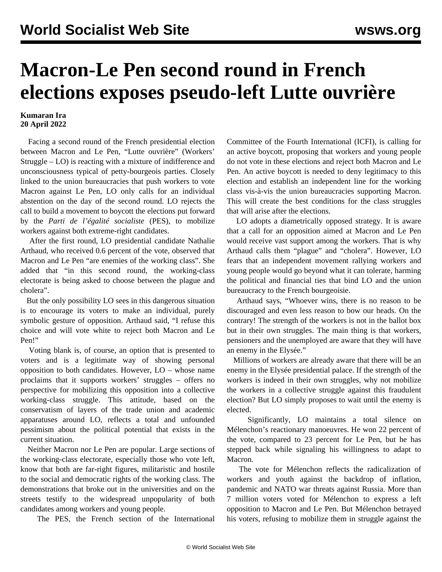## **Macron-Le Pen second round in French elections exposes pseudo-left Lutte ouvrière**

## **Kumaran Ira 20 April 2022**

 Facing a second round of the French presidential election between Macron and Le Pen, "Lutte ouvrière" (Workers' Struggle – LO) is reacting with a mixture of indifference and unconsciousness typical of petty-bourgeois parties. Closely linked to the union bureaucracies that push workers to vote Macron against Le Pen, LO only calls for an individual abstention on the day of the second round. LO rejects the call to build a movement to boycott the elections put forward by the *Parti de l'égalité socialiste* (PES), to mobilize workers against both extreme-right candidates.

 After the first round, LO presidential candidate Nathalie Arthaud, who received 0.6 percent of the vote, observed that Macron and Le Pen "are enemies of the working class". She added that "in this second round, the working-class electorate is being asked to choose between the plague and cholera".

 But the only possibility LO sees in this dangerous situation is to encourage its voters to make an individual, purely symbolic gesture of opposition. Arthaud said, "I refuse this choice and will vote white to reject both Macron and Le Pen!"

 Voting blank is, of course, an option that is presented to voters and is a legitimate way of showing personal opposition to both candidates. However, LO – whose name proclaims that it supports workers' struggles – offers no perspective for mobilizing this opposition into a collective working-class struggle. This attitude, based on the conservatism of layers of the trade union and academic apparatuses around LO, reflects a total and unfounded pessimism about the political potential that exists in the current situation.

 Neither Macron nor Le Pen are popular. Large sections of the working-class electorate, especially those who vote left, know that both are far-right figures, militaristic and hostile to the social and democratic rights of the working class. The demonstrations that broke out in the universities and on the streets testify to the widespread unpopularity of both candidates among workers and young people.

The PES, the French section of the International

Committee of the Fourth International (ICFI), is calling for an active boycott, proposing that workers and young people do not vote in these elections and reject both Macron and Le Pen. An active boycott is needed to deny legitimacy to this election and establish an independent line for the working class vis-à-vis the union bureaucracies supporting Macron. This will create the best conditions for the class struggles that will arise after the elections.

 LO adopts a diametrically opposed strategy. It is aware that a call for an opposition aimed at Macron and Le Pen would receive vast support among the workers. That is why Arthaud calls them "plague" and "cholera". However, LO fears that an independent movement rallying workers and young people would go beyond what it can tolerate, harming the political and financial ties that bind LO and the union bureaucracy to the French bourgeoisie.

 Arthaud says, "Whoever wins, there is no reason to be discouraged and even less reason to bow our heads. On the contrary! The strength of the workers is not in the ballot box but in their own struggles. The main thing is that workers, pensioners and the unemployed are aware that they will have an enemy in the Elysée."

 Millions of workers are already aware that there will be an enemy in the Elysée presidential palace. If the strength of the workers is indeed in their own struggles, why not mobilize the workers in a collective struggle against this fraudulent election? But LO simply proposes to wait until the enemy is elected.

 Significantly, LO maintains a total silence on Mélenchon's reactionary manoeuvres. He won 22 percent of the vote, compared to 23 percent for Le Pen, but he has stepped back while signaling his willingness to adapt to Macron.

 The vote for Mélenchon reflects the radicalization of workers and youth against the backdrop of inflation, pandemic and NATO war threats against Russia. More than 7 million voters voted for Mélenchon to express a left opposition to Macron and Le Pen. But Mélenchon betrayed his voters, refusing to mobilize them in struggle against the